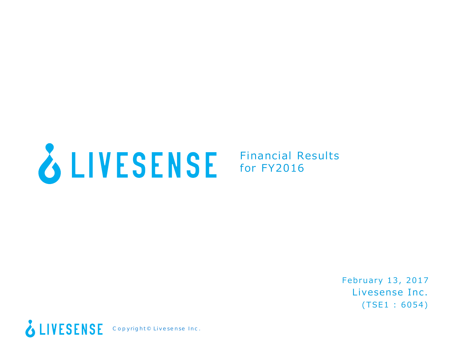

Financial Results for FY2016

> Livesense Inc. (TSE1 : 6054) February 13, 2017

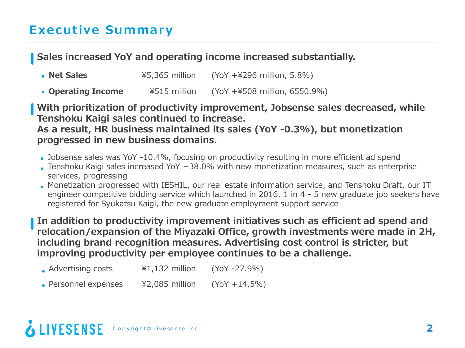#### **Sales increased YoY and operating income increased substantially.**

| • Net Sales | $45,365$ million | $(YoY + 4296 \text{ million}, 5.8\%)$ |
|-------------|------------------|---------------------------------------|
|-------------|------------------|---------------------------------------|

**Operating Income** ¥515 million (YoY +¥508 million, 6550.9%)

**With prioritization of productivity improvement, Jobsense sales decreased, while Tenshoku Kaigi sales continued to increase.**

**As a result, HR business maintained its sales (YoY -0.3%), but monetization progressed in new business domains.**

- Jobsense sales was YoY -10.4%, focusing on productivity resulting in more efficient ad spend
- Tenshoku Kaigi sales increased YoY +38.0% with new monetization measures, such as enterprise services, progressing
- Monetization progressed with IESHIL, our real estate information service, and Tenshoku Draft, our IT engineer competitive bidding service which launched in 2016. 1 in 4 - 5 new graduate job seekers have registered for Syukatsu Kaigi, the new graduate employment support service

**In addition to productivity improvement initiatives such as efficient ad spend and relocation/expansion of the Miyazaki Office, growth investments were made in 2H, including brand recognition measures. Advertising cost control is stricter, but improving productivity per employee continues to be a challenge.**

- Advertising costs ¥1,132 million (YoY -27.9%)
- Personnel expenses  $\frac{42,085}{1000}$  million (YoY +14.5%)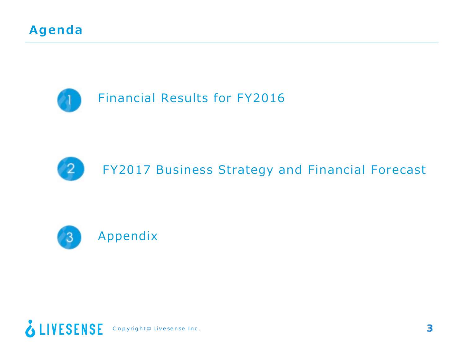





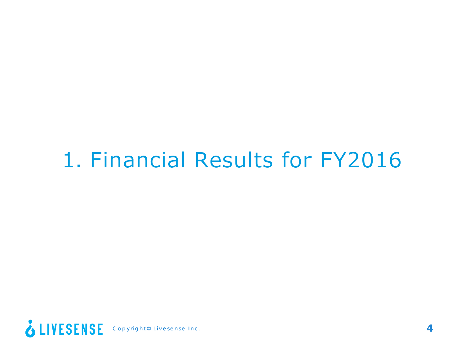## 1. Financial Results for FY2016

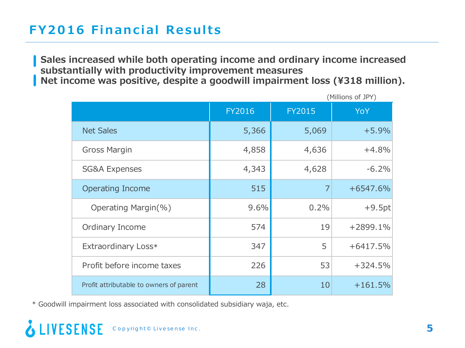## **FY2016 Financial Results**

**Sales increased while both operating income and ordinary income increased substantially with productivity improvement measures Net income was positive, despite a goodwill impairment loss (¥318 million).**

|                                         |               |               | (Millions of JPY) |
|-----------------------------------------|---------------|---------------|-------------------|
|                                         | <b>FY2016</b> | <b>FY2015</b> | YoY               |
| <b>Net Sales</b>                        | 5,366         | 5,069         | $+5.9%$           |
| <b>Gross Margin</b>                     | 4,858         | 4,636         | $+4.8%$           |
| <b>SG&amp;A Expenses</b>                | 4,343         | 4,628         | $-6.2%$           |
| <b>Operating Income</b>                 | 515           | 7             | $+6547.6%$        |
| Operating Margin(%)                     | 9.6%          | 0.2%          | $+9.5pt$          |
| Ordinary Income                         | 574           | 19            | +2899.1%          |
| Extraordinary Loss*                     | 347           | 5             | $+6417.5%$        |
| Profit before income taxes              | 226           | 53            | $+324.5%$         |
| Profit attributable to owners of parent | 28            | 10            | $+161.5%$         |

\* Goodwill impairment loss associated with consolidated subsidiary waja, etc.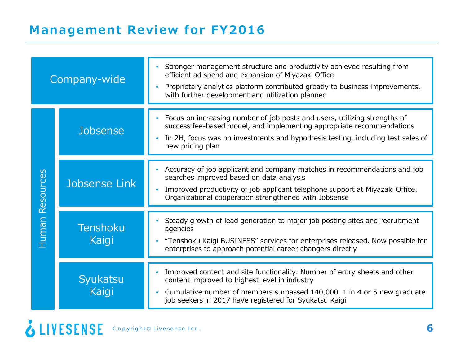| Company-wide                             |                   | Stronger management structure and productivity achieved resulting from<br>efficient ad spend and expansion of Miyazaki Office<br>Proprietary analytics platform contributed greatly to business improvements,<br>with further development and utilization planned             |
|------------------------------------------|-------------------|-------------------------------------------------------------------------------------------------------------------------------------------------------------------------------------------------------------------------------------------------------------------------------|
|                                          | <b>Jobsense</b>   | Focus on increasing number of job posts and users, utilizing strengths of<br>success fee-based model, and implementing appropriate recommendations<br>In 2H, focus was on investments and hypothesis testing, including test sales of<br>$\bullet$<br>new pricing plan        |
| Resources<br>Jobsense Link               |                   | Accuracy of job applicant and company matches in recommendations and job<br>searches improved based on data analysis<br>Improved productivity of job applicant telephone support at Miyazaki Office.<br>Organizational cooperation strengthened with Jobsense                 |
| <u>Human</u><br><b>Tenshoku</b><br>Kaigi |                   | Steady growth of lead generation to major job posting sites and recruitment<br>agencies<br>"Tenshoku Kaigi BUSINESS" services for enterprises released. Now possible for<br>enterprises to approach potential career changers directly                                        |
|                                          | Syukatsu<br>Kaigi | Improved content and site functionality. Number of entry sheets and other<br>content improved to highest level in industry<br>Cumulative number of members surpassed 140,000. 1 in 4 or 5 new graduate<br>$\bullet$<br>job seekers in 2017 have registered for Syukatsu Kaigi |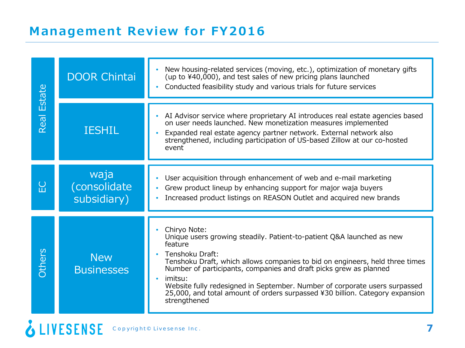## **Management Review for FY2016**

| <b>DOOR Chintai</b><br>Estate |                                     | New housing-related services (moving, etc.), optimization of monetary gifts<br>(up to ¥40,000), and test sales of new pricing plans launched<br>Conducted feasibility study and various trials for future services<br>$\bullet$                                                                                                                                                                                                                                                |
|-------------------------------|-------------------------------------|--------------------------------------------------------------------------------------------------------------------------------------------------------------------------------------------------------------------------------------------------------------------------------------------------------------------------------------------------------------------------------------------------------------------------------------------------------------------------------|
| Real                          | <b>IESHIL</b>                       | AI Advisor service where proprietary AI introduces real estate agencies based<br>on user needs launched. New monetization measures implemented<br>Expanded real estate agency partner network. External network also<br>strengthened, including participation of US-based Zillow at our co-hosted<br>event                                                                                                                                                                     |
| $\overline{C}$                | waja<br>(consolidate<br>subsidiary) | User acquisition through enhancement of web and e-mail marketing<br>Grew product lineup by enhancing support for major waja buyers<br>Increased product listings on REASON Outlet and acquired new brands                                                                                                                                                                                                                                                                      |
| Others                        | <b>New</b><br><b>Businesses</b>     | Chiryo Note:<br>Unique users growing steadily. Patient-to-patient Q&A launched as new<br>feature<br>Tenshoku Draft:<br>Tenshoku Draft, which allows companies to bid on engineers, held three times<br>Number of participants, companies and draft picks grew as planned<br>imitsu:<br>$\bullet$<br>Website fully redesigned in September. Number of corporate users surpassed<br>25,000, and total amount of orders surpassed ¥30 billion. Category expansion<br>strengthened |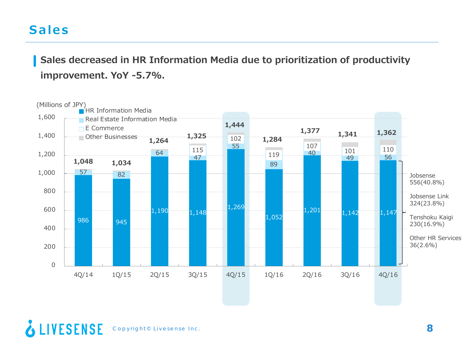## **Sales**

**Sales decreased in HR Information Media due to prioritization of productivity improvement. YoY -5.7%.**

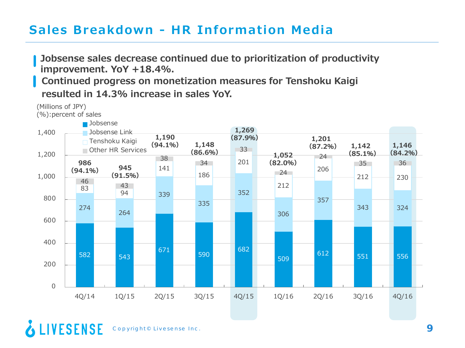## **Sales Breakdown - HR Information Media**

**Jobsense sales decrease continued due to prioritization of productivity improvement. YoY +18.4%. Continued progress on monetization measures for Tenshoku Kaigi resulted in 14.3% increase in sales YoY.**

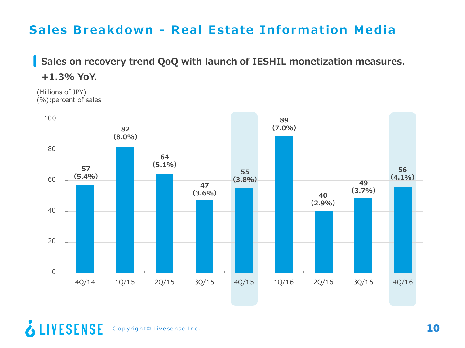## **Sales Breakdown - Real Estate Information Media**

### **Sales on recovery trend QoQ with launch of IESHIL monetization measures.**

**+1.3% YoY.**

(Millions of JPY) (%):percent of sales

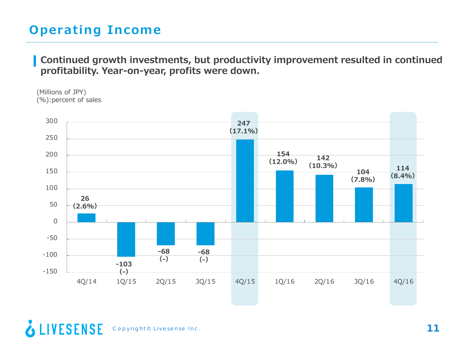## **Operating Income**

**Continued growth investments, but productivity improvement resulted in continued profitability. Year-on-year, profits were down.**

<sup>(</sup>Millions of JPY) (%):percent of sales

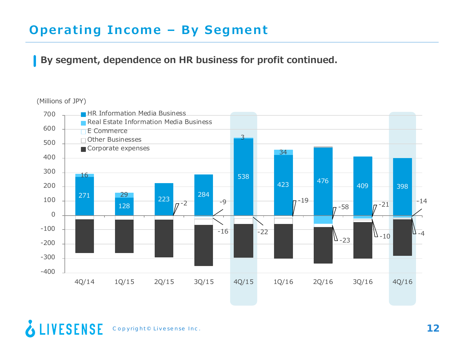## **Operating Income – By Segment**

#### **By segment, dependence on HR business for profit continued.**

#### (Millions of JPY)



#### & LIVESENSE Copyright© Livesense Inc. **12**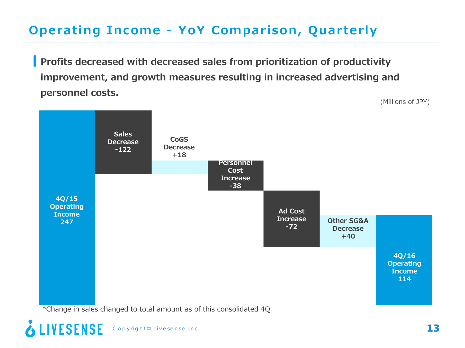## **Operating Income - YoY Comparison, Quarterly**

**Profits decreased with decreased sales from prioritization of productivity improvement, and growth measures resulting in increased advertising and personnel costs.** (Millions of JPY)



\*Change in sales changed to total amount as of this consolidated 4Q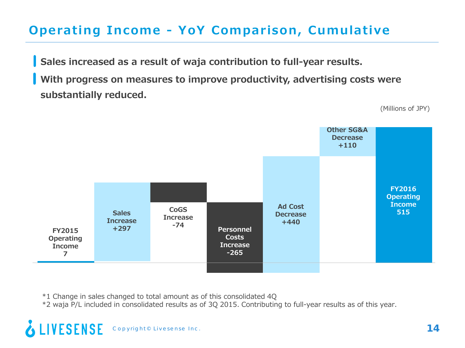## **Operating Income - YoY Comparison, Cumulative**

**Sales increased as a result of waja contribution to full-year results. With progress on measures to improve productivity, advertising costs were substantially reduced.**

(Millions of JPY)



\*1 Change in sales changed to total amount as of this consolidated 4Q

\*2 waja P/L included in consolidated results as of 3Q 2015. Contributing to full-year results as of this year.

Copyright© Livesense Inc. **14**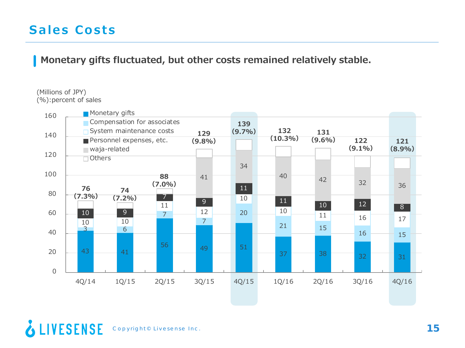## **Sales Costs**

**Monetary gifts fluctuated, but other costs remained relatively stable.** 

#### (Millions of JPY) (%):percent of sales

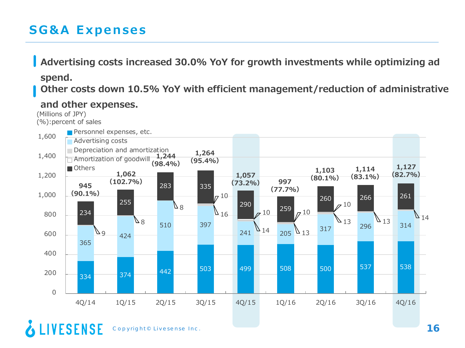## **SG&A Expenses**

### **Advertising costs increased 30.0% YoY for growth investments while optimizing ad spend. Other costs down 10.5% YoY with efficient management/reduction of administrative**

334 374 442 503 499 508 500 537 538 365 424 510 397  $241$   $14$   $205$   $13$   $317$   $296$   $296$   $314$ 9 کا  $80$  $8<sup>4</sup>$  $16$  $14$  205  $13$  $\begin{array}{|c|c|c|c|}\n\hline\n\searrow_{13} & & & & 14 \\
\hline\n296 & 13 & 314 & \\
\hline\n\end{array}$  $17^{10}$  $7^{10}$   $^{259}$   $7^{10}$  $710$ 234 255 283 335  $290$   $_{10}$   $259$ 260 266 261  $\Omega$ 200 400 600 800 1,000 1,200 1,400 1,600 4Q/14 1Q/15 2Q/15 3Q/15 4Q/15 1Q/16 2Q/16 3Q/16 4Q/16 Personnel expenses, etc. **Advertising costs Depreciation and amortization** Amortization of goodwill **1,244**  Others **1,264 (95.4%) 1,057 <sup>945</sup> (73.2%) (90.1%) 1,062 (102.7%) (98.4%) 997 (77.7%) 1,103 (80.1%) 1,114 (83.1%) 1,127 (82.7%) and other expenses.** (Millions of JPY) (%):percent of sales

**& LIVESENSE** Copyright© Livesense Inc. **16**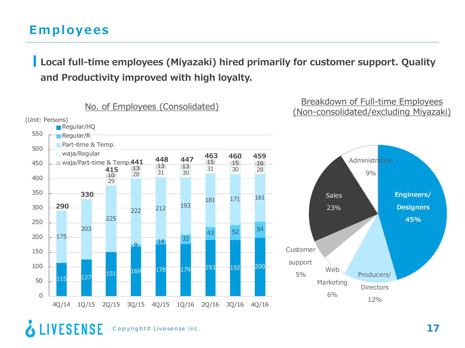## **Employees**

**Local full-time employees (Miyazaki) hired primarily for customer support. Quality and Productivity improved with high loyalty.**



#### **& LIVESENSE** Copyright© Livesense Inc. **17**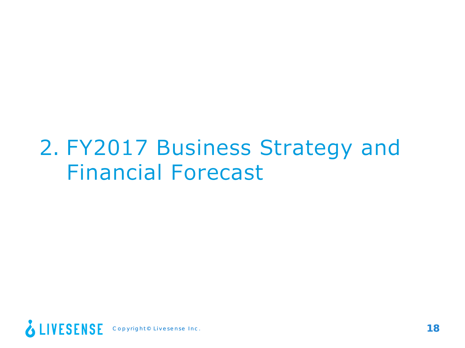## 2. FY2017 Business Strategy and Financial Forecast

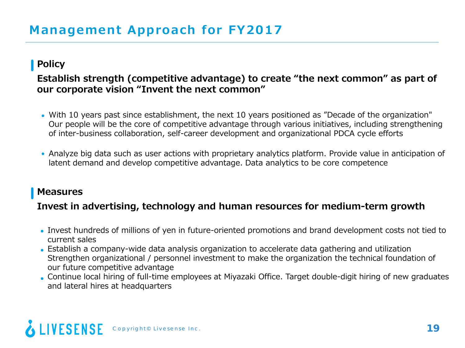#### **Policy**

#### **Establish strength (competitive advantage) to create "the next common" as part of our corporate vision "Invent the next common"**

- With 10 years past since establishment, the next 10 years positioned as "Decade of the organization" Our people will be the core of competitive advantage through various initiatives, including strengthening of inter-business collaboration, self-career development and organizational PDCA cycle efforts
- Analyze big data such as user actions with proprietary analytics platform. Provide value in anticipation of latent demand and develop competitive advantage. Data analytics to be core competence

#### **Measures**

#### **Invest in advertising, technology and human resources for medium-term growth**

- Invest hundreds of millions of yen in future-oriented promotions and brand development costs not tied to current sales
- Establish a company-wide data analysis organization to accelerate data gathering and utilization Strengthen organizational / personnel investment to make the organization the technical foundation of our future competitive advantage
- Continue local hiring of full-time employees at Miyazaki Office. Target double-digit hiring of new graduates and lateral hires at headquarters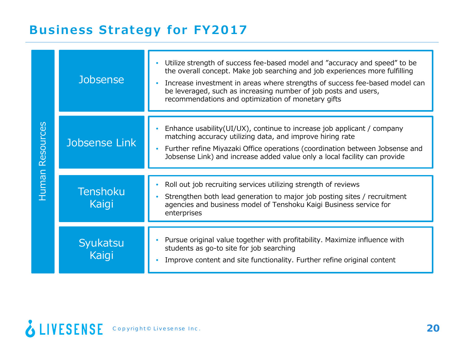## **Business Strategy for FY2017**

|                                          | <b>Jobsense</b>   | Utilize strength of success fee-based model and "accuracy and speed" to be<br>the overall concept. Make job searching and job experiences more fulfilling<br>Increase investment in areas where strengths of success fee-based model can<br>be leveraged, such as increasing number of job posts and users,<br>recommendations and optimization of monetary gifts |
|------------------------------------------|-------------------|-------------------------------------------------------------------------------------------------------------------------------------------------------------------------------------------------------------------------------------------------------------------------------------------------------------------------------------------------------------------|
| Resources                                | Jobsense Link     | Enhance usability (UI/UX), continue to increase job applicant / company<br>matching accuracy utilizing data, and improve hiring rate<br>Further refine Miyazaki Office operations (coordination between Jobsense and<br>Jobsense Link) and increase added value only a local facility can provide                                                                 |
|                                          |                   |                                                                                                                                                                                                                                                                                                                                                                   |
| <u>Human</u><br><b>Tenshoku</b><br>Kaigi |                   | Roll out job recruiting services utilizing strength of reviews<br>Strengthen both lead generation to major job posting sites / recruitment<br>agencies and business model of Tenshoku Kaigi Business service for<br>enterprises                                                                                                                                   |
|                                          | Syukatsu<br>Kaigi | Pursue original value together with profitability. Maximize influence with<br>students as go-to site for job searching<br>Improve content and site functionality. Further refine original content                                                                                                                                                                 |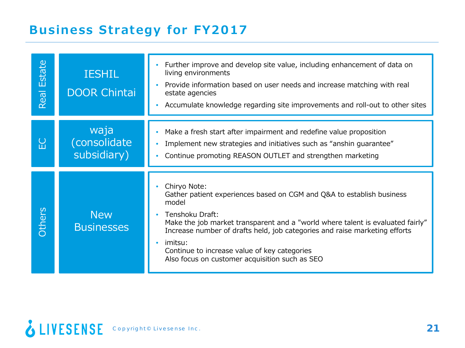## **Business Strategy for FY2017**

| Estate<br>Real | <b>IESHIL</b><br><b>DOOR Chintai</b> | Further improve and develop site value, including enhancement of data on<br>living environments<br>Provide information based on user needs and increase matching with real<br>estate agencies<br>Accumulate knowledge regarding site improvements and roll-out to other sites<br>$\bullet$                                                                                                                               |
|----------------|--------------------------------------|--------------------------------------------------------------------------------------------------------------------------------------------------------------------------------------------------------------------------------------------------------------------------------------------------------------------------------------------------------------------------------------------------------------------------|
| $\sum$         | waja<br>(consolidate<br>subsidiary)  | Make a fresh start after impairment and redefine value proposition<br>۰<br>Implement new strategies and initiatives such as "anshin guarantee"<br>$\bullet$<br>Continue promoting REASON OUTLET and strengthen marketing<br>$\bullet$                                                                                                                                                                                    |
| Others         | <b>New</b><br><b>Businesses</b>      | Chiryo Note:<br>Gather patient experiences based on CGM and Q&A to establish business<br>model<br>Tenshoku Draft:<br>$\bullet$<br>Make the job market transparent and a "world where talent is evaluated fairly"<br>Increase number of drafts held, job categories and raise marketing efforts<br>imitsu:<br>$\bullet$<br>Continue to increase value of key categories<br>Also focus on customer acquisition such as SEO |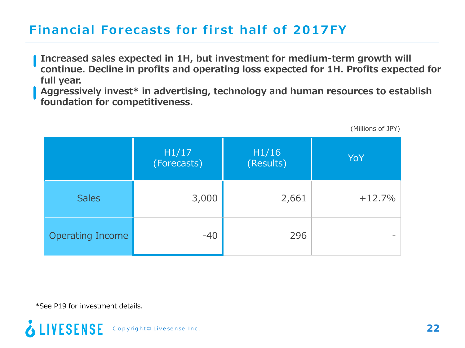## **Financial Forecasts for first half of 2017FY**

**Increased sales expected in 1H, but investment for medium-term growth will continue. Decline in profits and operating loss expected for 1H. Profits expected for full year.**

**Aggressively invest\* in advertising, technology and human resources to establish foundation for competitiveness.**

|                         | H1/17<br>(Forecasts) | H1/16<br>(Results) | YoY      |
|-------------------------|----------------------|--------------------|----------|
| <b>Sales</b>            | 3,000                | 2,661              | $+12.7%$ |
| <b>Operating Income</b> | $-40$                | 296                |          |

(Millions of JPY)

\*See P19 for investment details.

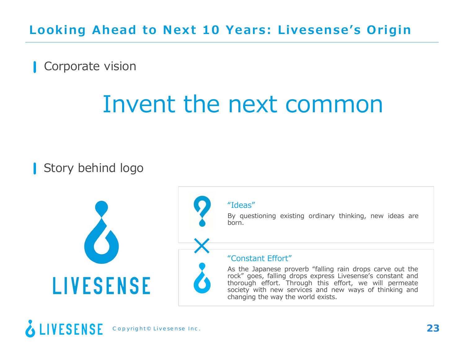**Looking Ahead to Next 10 Years: Livesense's Origin**

Corporate vision

## Invent the next common

Story behind logo

**LIVESENSE** 

#### "Ideas"

×

By questioning existing ordinary thinking, new ideas are born.

#### "Constant Effort"

As the Japanese proverb "falling rain drops carve out the rock" goes, falling drops express Livesense's constant and thorough effort. Through this effort, we will permeate society with new services and new ways of thinking and changing the way the world exists.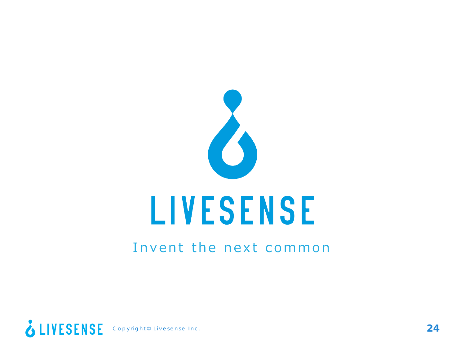

## Invent the next common

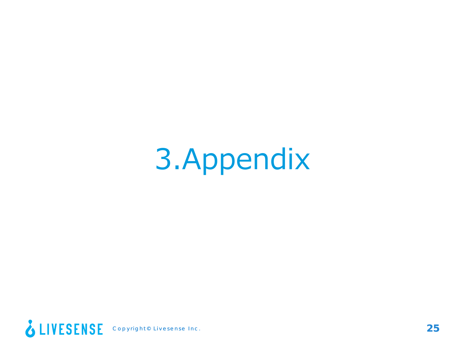# 3.Appendix

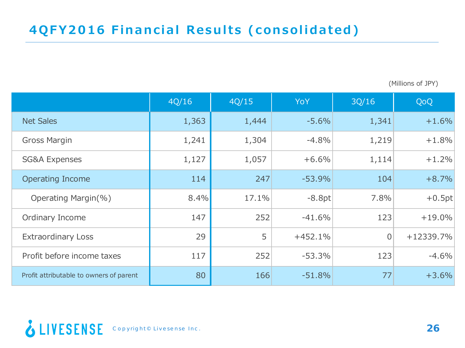(Millions of JPY)

|                                         | 4Q/16 | 4Q/15 | <b>YoY</b> | 3Q/16          | QoQ       |
|-----------------------------------------|-------|-------|------------|----------------|-----------|
| <b>Net Sales</b>                        | 1,363 | 1,444 | $-5.6%$    | 1,341          | $+1.6%$   |
| <b>Gross Margin</b>                     | 1,241 | 1,304 | $-4.8%$    | 1,219          | $+1.8%$   |
| <b>SG&amp;A Expenses</b>                | 1,127 | 1,057 | $+6.6%$    | 1,114          | $+1.2%$   |
| <b>Operating Income</b>                 | 114   | 247   | $-53.9%$   | 104            | $+8.7%$   |
| Operating Margin(%)                     | 8.4%  | 17.1% | $-8.8pt$   | 7.8%           | $+0.5pt$  |
| Ordinary Income                         | 147   | 252   | $-41.6%$   | 123            | $+19.0%$  |
| <b>Extraordinary Loss</b>               | 29    | 5     | $+452.1%$  | $\overline{0}$ | +12339.7% |
| Profit before income taxes              | 117   | 252   | $-53.3%$   | 123            | $-4.6%$   |
| Profit attributable to owners of parent | 80    | 166   | $-51.8%$   | 77             | $+3.6%$   |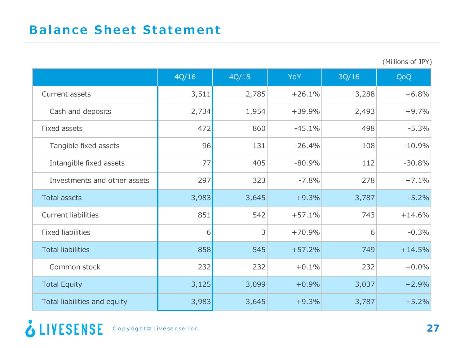(Millions of JPY)

|                              | 4Q/16 | 4Q/15 | <b>YoY</b> | 3Q/16 | QoQ      |
|------------------------------|-------|-------|------------|-------|----------|
| Current assets               | 3,511 | 2,785 | $+26.1%$   | 3,288 | $+6.8%$  |
| Cash and deposits            | 2,734 | 1,954 | $+39.9%$   | 2,493 | $+9.7%$  |
| Fixed assets                 | 472   | 860   | $-45.1%$   | 498   | $-5.3%$  |
| Tangible fixed assets        | 96    | 131   | $-26.4%$   | 108   | $-10.9%$ |
| Intangible fixed assets      | 77    | 405   | $-80.9%$   | 112   | $-30.8%$ |
| Investments and other assets | 297   | 323   | $-7.8%$    | 278   | $+7.1%$  |
| <b>Total assets</b>          | 3,983 | 3,645 | $+9.3%$    | 3,787 | $+5.2%$  |
| <b>Current liabilities</b>   | 851   | 542   | $+57.1%$   | 743   | $+14.6%$ |
| <b>Fixed liabilities</b>     | 6     | 3     | $+70.9%$   | 6     | $-0.3%$  |
| <b>Total liabilities</b>     | 858   | 545   | $+57.2%$   | 749   | $+14.5%$ |
| Common stock                 | 232   | 232   | $+0.1%$    | 232   | $+0.0%$  |
| <b>Total Equity</b>          | 3,125 | 3,099 | $+0.9%$    | 3,037 | $+2.9%$  |
| Total liabilities and equity | 3,983 | 3,645 | $+9.3%$    | 3,787 | $+5.2%$  |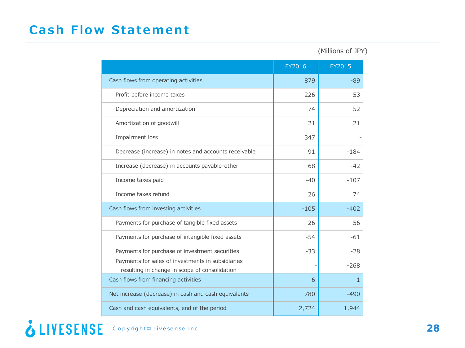## **Cash Flow Statement**

(Millions of JPY)

|                                                                                                    | FY2016 | FY2015       |
|----------------------------------------------------------------------------------------------------|--------|--------------|
| Cash flows from operating activities                                                               | 879    | $-89$        |
| Profit before income taxes                                                                         | 226    | 53           |
| Depreciation and amortization                                                                      | 74     | 52           |
| Amortization of goodwill                                                                           | 21     | 21           |
| Impairment loss                                                                                    | 347    |              |
| Decrease (increase) in notes and accounts receivable                                               | 91     | $-184$       |
| Increase (decrease) in accounts payable-other                                                      | 68     | $-42$        |
| Income taxes paid                                                                                  | $-40$  | $-107$       |
| Income taxes refund                                                                                | 26     | 74           |
| Cash flows from investing activities                                                               | $-105$ | $-402$       |
| Payments for purchase of tangible fixed assets                                                     | $-26$  | $-56$        |
| Payments for purchase of intangible fixed assets                                                   | $-54$  | $-61$        |
| Payments for purchase of investment securities                                                     | $-33$  | $-28$        |
| Payments for sales of investments in subsidiaries<br>resulting in change in scope of consolidation |        | $-268$       |
| Cash flows from financing activities                                                               | 6      | $\mathbf{1}$ |
| Net increase (decrease) in cash and cash equivalents                                               | 780    | $-490$       |
| Cash and cash equivalents, end of the period                                                       | 2,724  | 1,944        |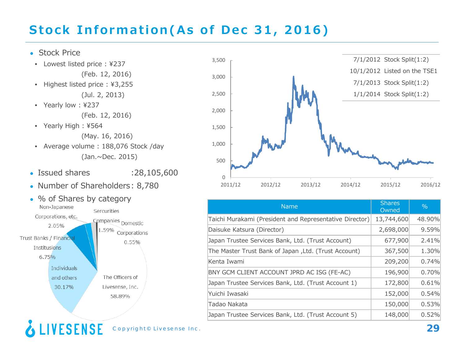## **Stock Information(As of Dec 31, 2016)**

#### • Stock Price

- Issued shares : 28,105,600 • Lowest listed price : ¥237 (Feb. 12, 2016) • Highest listed price : ¥3,255 (Jul. 2, 2013) • Yearly low : ¥237 (Feb. 12, 2016) • Yearly High : ¥564 (May. 16, 2016) • Average volume : 188,076 Stock /day (Jan.~Dec. 2015)
- Number of Shareholders: 8,780
- % of Shares by category<br>Non-Japanese Sercurities Corporations, etc. Companies Domestic 2.05% 1.59% Corporations Trust Banks / Financial  $0.55%$ Institusions 6.75% **Individuals** and others The Officers of 30.17% Livesense, Inc. 58.89%





| <b>Name</b>                                             | <b>Shares</b><br>Owned | $\%$   |
|---------------------------------------------------------|------------------------|--------|
| Taichi Murakami (President and Representative Director) | 13,744,600             | 48.90% |
| Daisuke Katsura (Director)                              | 2,698,000              | 9.59%  |
| Japan Trustee Services Bank, Ltd. (Trust Account)       | 677,900                | 2.41%  |
| The Master Trust Bank of Japan, Ltd. (Trust Account)    | 367,500                | 1.30%  |
| Kenta Iwami                                             | 209,200                | 0.74%  |
| BNY GCM CLIENT ACCOUNT JPRD AC ISG (FE-AC)              | 196,900                | 0.70%  |
| Japan Trustee Services Bank, Ltd. (Trust Account 1)     | 172,800                | 0.61%  |
| Yuichi Iwasaki                                          | 152,000                | 0.54%  |
| Tadao Nakata                                            | 150,000                | 0.53%  |
| Japan Trustee Services Bank, Ltd. (Trust Account 5)     | 148,000                | 0.52%  |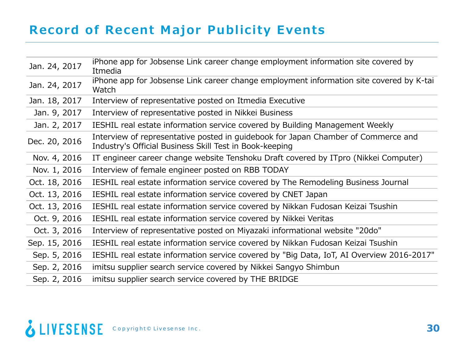## **Record of Recent Major Publicity Events**

| Jan. 24, 2017 | iPhone app for Jobsense Link career change employment information site covered by<br>Itmedia                                                 |
|---------------|----------------------------------------------------------------------------------------------------------------------------------------------|
| Jan. 24, 2017 | iPhone app for Jobsense Link career change employment information site covered by K-tai<br>Watch                                             |
| Jan. 18, 2017 | Interview of representative posted on Itmedia Executive                                                                                      |
| Jan. 9, 2017  | Interview of representative posted in Nikkei Business                                                                                        |
| Jan. 2, 2017  | IESHIL real estate information service covered by Building Management Weekly                                                                 |
| Dec. 20, 2016 | Interview of representative posted in guidebook for Japan Chamber of Commerce and<br>Industry's Official Business Skill Test in Book-keeping |
| Nov. 4, 2016  | IT engineer career change website Tenshoku Draft covered by ITpro (Nikkei Computer)                                                          |
| Nov. 1, 2016  | Interview of female engineer posted on RBB TODAY                                                                                             |
| Oct. 18, 2016 | IESHIL real estate information service covered by The Remodeling Business Journal                                                            |
| Oct. 13, 2016 | IESHIL real estate information service covered by CNET Japan                                                                                 |
| Oct. 13, 2016 | IESHIL real estate information service covered by Nikkan Fudosan Keizai Tsushin                                                              |
| Oct. 9, 2016  | IESHIL real estate information service covered by Nikkei Veritas                                                                             |
| Oct. 3, 2016  | Interview of representative posted on Miyazaki informational website "20do"                                                                  |
| Sep. 15, 2016 | IESHIL real estate information service covered by Nikkan Fudosan Keizai Tsushin                                                              |
| Sep. 5, 2016  | IESHIL real estate information service covered by "Big Data, IoT, AI Overview 2016-2017"                                                     |
| Sep. 2, 2016  | imitsu supplier search service covered by Nikkei Sangyo Shimbun                                                                              |
| Sep. 2, 2016  | imitsu supplier search service covered by THE BRIDGE                                                                                         |
|               |                                                                                                                                              |

## COPYright® Livesense Inc. **30 Copyright® Livesense Inc.**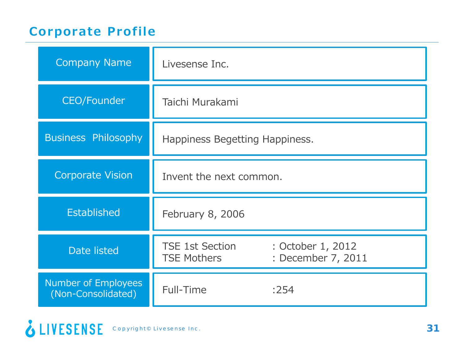## **Corporate Profile**

| <b>Company Name</b>                       | Livesense Inc.                               |                                         |
|-------------------------------------------|----------------------------------------------|-----------------------------------------|
| <b>CEO/Founder</b>                        | Taichi Murakami                              |                                         |
| <b>Business Philosophy</b>                | Happiness Begetting Happiness.               |                                         |
| <b>Corporate Vision</b>                   | Invent the next common.                      |                                         |
| Established                               | February 8, 2006                             |                                         |
| <b>Date listed</b>                        | <b>TSE 1st Section</b><br><b>TSE Mothers</b> | : October 1, 2012<br>: December 7, 2011 |
| Number of Employees<br>(Non-Consolidated) | Full-Time                                    | :254                                    |